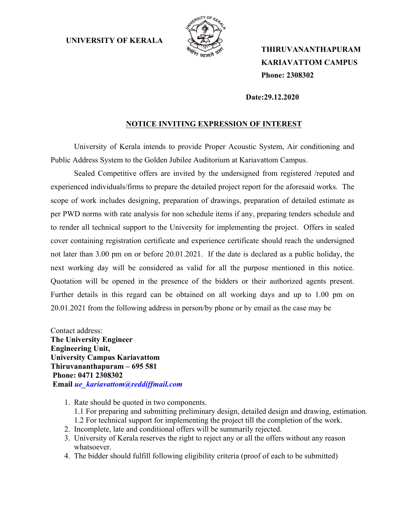**UNIVERSITY OF KERALA**



 **THIRUVANANTHAPURAM KARIAVATTOM CAMPUS Phone: 2308302**

 **Date:29.12.2020**

## **NOTICE INVITING EXPRESSION OF INTEREST**

University of Kerala intends to provide Proper Acoustic System, Air conditioning and Public Address System to the Golden Jubilee Auditorium at Kariavattom Campus.

Sealed Competitive offers are invited by the undersigned from registered /reputed and experienced individuals/firms to prepare the detailed project report for the aforesaid works. The scope of work includes designing, preparation of drawings, preparation of detailed estimate as per PWD norms with rate analysis for non schedule items if any, preparing tenders schedule and to render all technical support to the University for implementing the project. Offers in sealed cover containing registration certificate and experience certificate should reach the undersigned not later than 3.00 pm on or before 20.01.2021. If the date is declared as a public holiday, the next working day will be considered as valid for all the purpose mentioned in this notice. Quotation will be opened in the presence of the bidders or their authorized agents present. Further details in this regard can be obtained on all working days and up to 1.00 pm on 20.01.2021 from the following address in person/by phone or by email as the case may be

Contact address: **The University Engineer Engineering Unit, University Campus Kariavattom Thiruvananthapuram – 695 581 Phone: 0471 2308302 Email** *ue\_kariavattom@reddiffmail.com*

- 1. Rate should be quoted in two components. 1.1 For preparing and submitting preliminary design, detailed design and drawing, estimation. 1.2 For technical support for implementing the project till the completion of the work.
- 2. Incomplete, late and conditional offers will be summarily rejected.
- 3. University of Kerala reserves the right to reject any or all the offers without any reason whatsoever.
- 4. The bidder should fulfill following eligibility criteria (proof of each to be submitted)